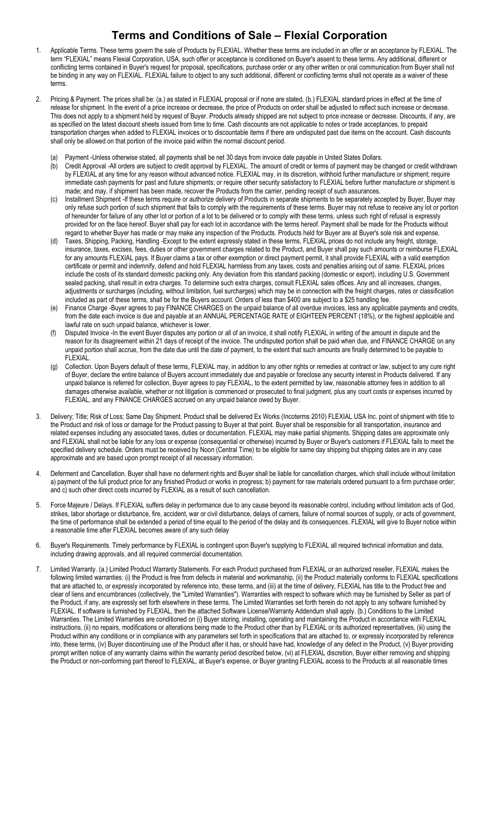## Terms and Conditions of Sale – Flexial Corporation

- 1. Applicable Terms. These terms govern the sale of Products by FLEXIAL. Whether these terms are included in an offer or an acceptance by FLEXIAL. The term "FLEXIAL" means Flexial Corporation, USA, such offer or acceptance is conditioned on Buyer's assent to these terms. Any additional, different or conflicting terms contained in Buyer's request for proposal, specifications, purchase order or any other written or oral communication from Buyer shall not be binding in any way on FLEXIAL. FLEXIAL failure to object to any such additional, different or conflicting terms shall not operate as a waiver of these terms.
- 2. Pricing & Payment. The prices shall be: (a.) as stated in FLEXIAL proposal or if none are stated, (b.) FLEXIAL standard prices in effect at the time of release for shipment. In the event of a price increase or decrease, the price of Products on order shall be adjusted to reflect such increase or decrease. This does not apply to a shipment held by request of Buyer. Products already shipped are not subject to price increase or decrease. Discounts, if any, are as specified on the latest discount sheets issued from time to time. Cash discounts are not applicable to notes or trade acceptances, to prepaid transportation charges when added to FLEXIAL invoices or to discountable items if there are undisputed past due items on the account. Cash discounts shall only be allowed on that portion of the invoice paid within the normal discount period.
	- (a) Payment -Unless otherwise stated, all payments shall be net 30 days from invoice date payable in United States Dollars.
	- (b) Credit Approval -All orders are subject to credit approval by FLEXIAL. The amount of credit or terms of payment may be changed or credit withdrawn by FLEXIAL at any time for any reason without advanced notice. FLEXIAL may, in its discretion, withhold further manufacture or shipment; require immediate cash payments for past and future shipments; or require other security satisfactory to FLEXIAL before further manufacture or shipment is made; and may, if shipment has been made, recover the Products from the carrier, pending receipt of such assurances.
	- (c) Installment Shipment -If these terms require or authorize delivery of Products in separate shipments to be separately accepted by Buyer, Buyer may only refuse such portion of such shipment that fails to comply with the requirements of these terms. Buyer may not refuse to receive any lot or portion of hereunder for failure of any other lot or portion of a lot to be delivered or to comply with these terms, unless such right of refusal is expressly provided for on the face hereof. Buyer shall pay for each lot in accordance with the terms hereof. Payment shall be made for the Products without regard to whether Buyer has made or may make any inspection of the Products. Products held for Buyer are at Buyer's sole risk and expense.
	- Taxes, Shipping, Packing, Handling -Except to the extent expressly stated in these terms, FLEXIAL prices do not include any freight, storage, insurance, taxes, excises, fees, duties or other government charges related to the Product, and Buyer shall pay such amounts or reimburse FLEXIAL for any amounts FLEXIAL pays. If Buyer claims a tax or other exemption or direct payment permit, it shall provide FLEXIAL with a valid exemption certificate or permit and indemnify, defend and hold FLEXIAL harmless from any taxes, costs and penalties arising out of same. FLEXIAL prices include the costs of its standard domestic packing only. Any deviation from this standard packing (domestic or export), including U.S. Government sealed packing, shall result in extra charges. To determine such extra charges, consult FLEXIAL sales offices. Any and all increases, changes, adjustments or surcharges (including, without limitation, fuel surcharges) which may be in connection with the freight charges, rates or classification included as part of these terms, shall be for the Buyers account. Orders of less than \$400 are subject to a \$25 handling fee.
	- (e) Finance Charge -Buyer agrees to pay FINANCE CHARGES on the unpaid balance of all overdue invoices, less any applicable payments and credits, from the date each invoice is due and payable at an ANNUAL PERCENTAGE RATE of EIGHTEEN PERCENT (18%), or the highest applicable and lawful rate on such unpaid balance, whichever is lower.
	- Disputed Invoice -In the event Buyer disputes any portion or all of an invoice, it shall notify FLEXIAL in writing of the amount in dispute and the reason for its disagreement within 21 days of receipt of the invoice. The undisputed portion shall be paid when due, and FINANCE CHARGE on any unpaid portion shall accrue, from the date due until the date of payment, to the extent that such amounts are finally determined to be payable to FLEXIAL.
	- (g) Collection. Upon Buyers default of these terms, FLEXIAL may, in addition to any other rights or remedies at contract or law, subject to any cure right of Buyer, declare the entire balance of Buyers account immediately due and payable or foreclose any security interest in Products delivered. If any unpaid balance is referred for collection, Buyer agrees to pay FLEXIAL, to the extent permitted by law, reasonable attorney fees in addition to all damages otherwise available, whether or not litigation is commenced or prosecuted to final judgment, plus any court costs or expenses incurred by FLEXIAL, and any FINANCE CHARGES accrued on any unpaid balance owed by Buyer.
- 3. Delivery; Title; Risk of Loss; Same Day Shipment. Product shall be delivered Ex Works (Incoterms 2010) FLEXIAL USA Inc. point of shipment with title to the Product and risk of loss or damage for the Product passing to Buyer at that point. Buyer shall be responsible for all transportation, insurance and related expenses including any associated taxes, duties or documentation. FLEXIAL may make partial shipments. Shipping dates are approximate only and FLEXIAL shall not be liable for any loss or expense (consequential or otherwise) incurred by Buyer or Buyer's customers if FLEXIAL fails to meet the specified delivery schedule. Orders must be received by Noon (Central Time) to be eligible for same day shipping but shipping dates are in any case approximate and are based upon prompt receipt of all necessary information.
- 4. Deferment and Cancellation. Buyer shall have no deferment rights and Buyer shall be liable for cancellation charges, which shall include without limitation a) payment of the full product price for any finished Product or works in progress; b) payment for raw materials ordered pursuant to a firm purchase order; and c) such other direct costs incurred by FLEXIAL as a result of such cancellation.
- 5. Force Majeure / Delays. If FLEXIAL suffers delay in performance due to any cause beyond its reasonable control, including without limitation acts of God, strikes, labor shortage or disturbance, fire, accident, war or civil disturbance, delays of carriers, failure of normal sources of supply, or acts of government, the time of performance shall be extended a period of time equal to the period of the delay and its consequences. FLEXIAL will give to Buyer notice within a reasonable time after FLEXIAL becomes aware of any such delay
- 6. Buyer's Requirements. Timely performance by FLEXIAL is contingent upon Buyer's supplying to FLEXIAL all required technical information and data, including drawing approvals, and all required commercial documentation.
- 7. Limited Warranty. (a.) Limited Product Warranty Statements. For each Product purchased from FLEXIAL or an authorized reseller, FLEXIAL makes the following limited warranties: (i) the Product is free from defects in material and workmanship, (ii) the Product materially conforms to FLEXIAL specifications that are attached to, or expressly incorporated by reference into, these terms, and (iii) at the time of delivery, FLEXIAL has title to the Product free and clear of liens and encumbrances (collectively, the "Limited Warranties"). Warranties with respect to software which may be furnished by Seller as part of the Product, if any, are expressly set forth elsewhere in these terms. The Limited Warranties set forth herein do not apply to any software furnished by FLEXIAL. If software is furnished by FLEXIAL, then the attached Software License/Warranty Addendum shall apply. (b.) Conditions to the Limited Warranties. The Limited Warranties are conditioned on (i) Buyer storing, installing, operating and maintaining the Product in accordance with FLEXIAL instructions, (ii) no repairs, modifications or alterations being made to the Product other than by FLEXIAL or its authorized representatives, (iii) using the Product within any conditions or in compliance with any parameters set forth in specifications that are attached to, or expressly incorporated by reference into, these terms, (iv) Buyer discontinuing use of the Product after it has, or should have had, knowledge of any defect in the Product, (v) Buyer providing prompt written notice of any warranty claims within the warranty period described below, (vi) at FLEXIAL discretion, Buyer either removing and shipping the Product or non-conforming part thereof to FLEXIAL, at Buyer's expense, or Buyer granting FLEXIAL access to the Products at all reasonable times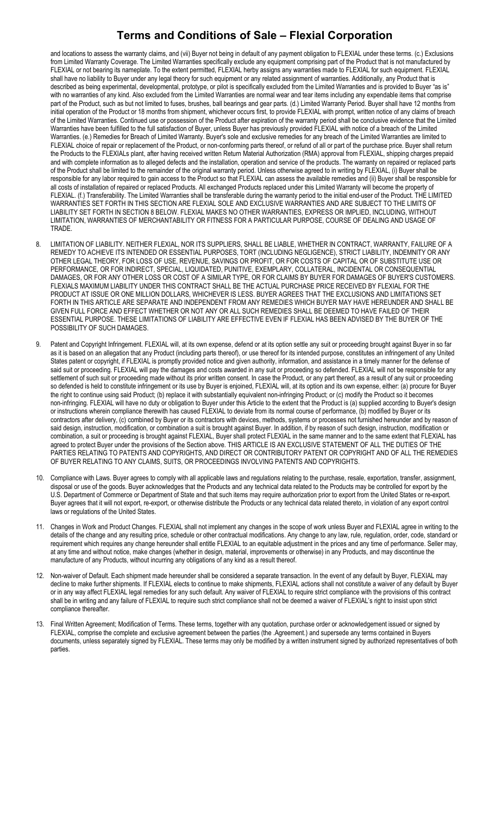## Terms and Conditions of Sale – Flexial Corporation

and locations to assess the warranty claims, and (vii) Buyer not being in default of any payment obligation to FLEXIAL under these terms. (c.) Exclusions from Limited Warranty Coverage. The Limited Warranties specifically exclude any equipment comprising part of the Product that is not manufactured by FLEXIAL or not bearing its nameplate. To the extent permitted, FLEXIAL herby assigns any warranties made to FLEXIAL for such equipment. FLEXIAL shall have no liability to Buyer under any legal theory for such equipment or any related assignment of warranties. Additionally, any Product that is described as being experimental, developmental, prototype, or pilot is specifically excluded from the Limited Warranties and is provided to Buyer "as is" with no warranties of any kind. Also excluded from the Limited Warranties are normal wear and tear items including any expendable items that comprise part of the Product, such as but not limited to fuses, brushes, ball bearings and gear parts. (d.) Limited Warranty Period. Buyer shall have 12 months from initial operation of the Product or 18 months from shipment, whichever occurs first, to provide FLEXIAL with prompt, written notice of any claims of breach of the Limited Warranties. Continued use or possession of the Product after expiration of the warranty period shall be conclusive evidence that the Limited Warranties have been fulfilled to the full satisfaction of Buyer, unless Buyer has previously provided FLEXIAL with notice of a breach of the Limited Warranties. (e.) Remedies for Breach of Limited Warranty. Buyer's sole and exclusive remedies for any breach of the Limited Warranties are limited to FLEXIAL choice of repair or replacement of the Product, or non-conforming parts thereof, or refund of all or part of the purchase price. Buyer shall return the Products to the FLEXIALs plant, after having received written Return Material Authorization (RMA) approval from FLEXIAL, shipping charges prepaid and with complete information as to alleged defects and the installation, operation and service of the products. The warranty on repaired or replaced parts of the Product shall be limited to the remainder of the original warranty period. Unless otherwise agreed to in writing by FLEXIAL, (i) Buyer shall be responsible for any labor required to gain access to the Product so that FLEXIAL can assess the available remedies and (ii) Buyer shall be responsible for all costs of installation of repaired or replaced Products. All exchanged Products replaced under this Limited Warranty will become the property of FLEXIAL. (f.) Transferability. The Limited Warranties shall be transferable during the warranty period to the initial end-user of the Product. THE LIMITED WARRANTIES SET FORTH IN THIS SECTION ARE FLEXIAL SOLE AND EXCLUSIVE WARRANTIES AND ARE SUBJECT TO THE LIMITS OF LIABILITY SET FORTH IN SECTION 8 BELOW. FLEXIAL MAKES NO OTHER WARRANTIES, EXPRESS OR IMPLIED, INCLUDING, WITHOUT LIMITATION, WARRANTIES OF MERCHANTABILITY OR FITNESS FOR A PARTICULAR PURPOSE, COURSE OF DEALING AND USAGE OF **TRADE** 

- 8. LIMITATION OF LIABILITY. NEITHER FLEXIAL, NOR ITS SUPPLIERS, SHALL BE LIABLE, WHETHER IN CONTRACT, WARRANTY, FAILURE OF A REMEDY TO ACHIEVE ITS INTENDED OR ESSENTIAL PURPOSES, TORT (INCLUDING NEGLIGENCE), STRICT LIABILITY, INDEMNITY OR ANY OTHER LEGAL THEORY, FOR LOSS OF USE, REVENUE, SAVINGS OR PROFIT, OR FOR COSTS OF CAPITAL OR OF SUBSTITUTE USE OR PERFORMANCE, OR FOR INDIRECT, SPECIAL, LIQUIDATED, PUNITIVE, EXEMPLARY, COLLATERAL, INCIDENTAL OR CONSEQUENTIAL DAMAGES, OR FOR ANY OTHER LOSS OR COST OF A SIMILAR TYPE, OR FOR CLAIMS BY BUYER FOR DAMAGES OF BUYER'S CUSTOMERS. FLEXIALS MAXIMUM LIABILITY UNDER THIS CONTRACT SHALL BE THE ACTUAL PURCHASE PRICE RECEIVED BY FLEXIAL FOR THE PRODUCT AT ISSUE OR ONE MILLION DOLLARS, WHICHEVER IS LESS. BUYER AGREES THAT THE EXCLUSIONS AND LIMITATIONS SET FORTH IN THIS ARTICLE ARE SEPARATE AND INDEPENDENT FROM ANY REMEDIES WHICH BUYER MAY HAVE HEREUNDER AND SHALL BE GIVEN FULL FORCE AND EFFECT WHETHER OR NOT ANY OR ALL SUCH REMEDIES SHALL BE DEEMED TO HAVE FAILED OF THEIR ESSENTIAL PURPOSE. THESE LIMITATIONS OF LIABILITY ARE EFFECTIVE EVEN IF FLEXIAL HAS BEEN ADVISED BY THE BUYER OF THE POSSIBILITY OF SUCH DAMAGES.
- 9. Patent and Copyright Infringement. FLEXIAL will, at its own expense, defend or at its option settle any suit or proceeding brought against Buyer in so far as it is based on an allegation that any Product (including parts thereof), or use thereof for its intended purpose, constitutes an infringement of any United States patent or copyright, if FLEXIAL is promptly provided notice and given authority, information, and assistance in a timely manner for the defense of said suit or proceeding. FLEXIAL will pay the damages and costs awarded in any suit or proceeding so defended. FLEXIAL will not be responsible for any settlement of such suit or proceeding made without its prior written consent. In case the Product, or any part thereof, as a result of any suit or proceeding so defended is held to constitute infringement or its use by Buyer is enjoined, FLEXIAL will, at its option and its own expense, either: (a) procure for Buyer the right to continue using said Product; (b) replace it with substantially equivalent non-infringing Product; or (c) modify the Product so it becomes non-infringing. FLEXIAL will have no duty or obligation to Buyer under this Article to the extent that the Product is (a) supplied according to Buyer's design or instructions wherein compliance therewith has caused FLEXIAL to deviate from its normal course of performance, (b) modified by Buyer or its contractors after delivery, (c) combined by Buyer or its contractors with devices, methods, systems or processes not furnished hereunder and by reason of said design, instruction, modification, or combination a suit is brought against Buyer. In addition, if by reason of such design, instruction, modification or combination, a suit or proceeding is brought against FLEXIAL, Buyer shall protect FLEXIAL in the same manner and to the same extent that FLEXIAL has agreed to protect Buyer under the provisions of the Section above. THIS ARTICLE IS AN EXCLUSIVE STATEMENT OF ALL THE DUTIES OF THE PARTIES RELATING TO PATENTS AND COPYRIGHTS, AND DIRECT OR CONTRIBUTORY PATENT OR COPYRIGHT AND OF ALL THE REMEDIES OF BUYER RELATING TO ANY CLAIMS, SUITS, OR PROCEEDINGS INVOLVING PATENTS AND COPYRIGHTS.
- 10. Compliance with Laws. Buyer agrees to comply with all applicable laws and regulations relating to the purchase, resale, exportation, transfer, assignment, disposal or use of the goods. Buyer acknowledges that the Products and any technical data related to the Products may be controlled for export by the U.S. Department of Commerce or Department of State and that such items may require authorization prior to export from the United States or re-export. Buyer agrees that it will not export, re-export, or otherwise distribute the Products or any technical data related thereto, in violation of any export control laws or regulations of the United States.
- 11. Changes in Work and Product Changes. FLEXIAL shall not implement any changes in the scope of work unless Buyer and FLEXIAL agree in writing to the details of the change and any resulting price, schedule or other contractual modifications. Any change to any law, rule, regulation, order, code, standard or requirement which requires any change hereunder shall entitle FLEXIAL to an equitable adjustment in the prices and any time of performance. Seller may, at any time and without notice, make changes (whether in design, material, improvements or otherwise) in any Products, and may discontinue the manufacture of any Products, without incurring any obligations of any kind as a result thereof.
- 12. Non-waiver of Default. Each shipment made hereunder shall be considered a separate transaction. In the event of any default by Buyer, FLEXIAL may decline to make further shipments. If FLEXIAL elects to continue to make shipments, FLEXIAL actions shall not constitute a waiver of any default by Buyer or in any way affect FLEXIAL legal remedies for any such default. Any waiver of FLEXIAL to require strict compliance with the provisions of this contract shall be in writing and any failure of FLEXIAL to require such strict compliance shall not be deemed a waiver of FLEXIAL's right to insist upon strict compliance thereafter.
- 13. Final Written Agreement; Modification of Terms. These terms, together with any quotation, purchase order or acknowledgement issued or signed by FLEXIAL, comprise the complete and exclusive agreement between the parties (the .Agreement.) and supersede any terms contained in Buyers documents, unless separately signed by FLEXIAL. These terms may only be modified by a written instrument signed by authorized representatives of both parties.